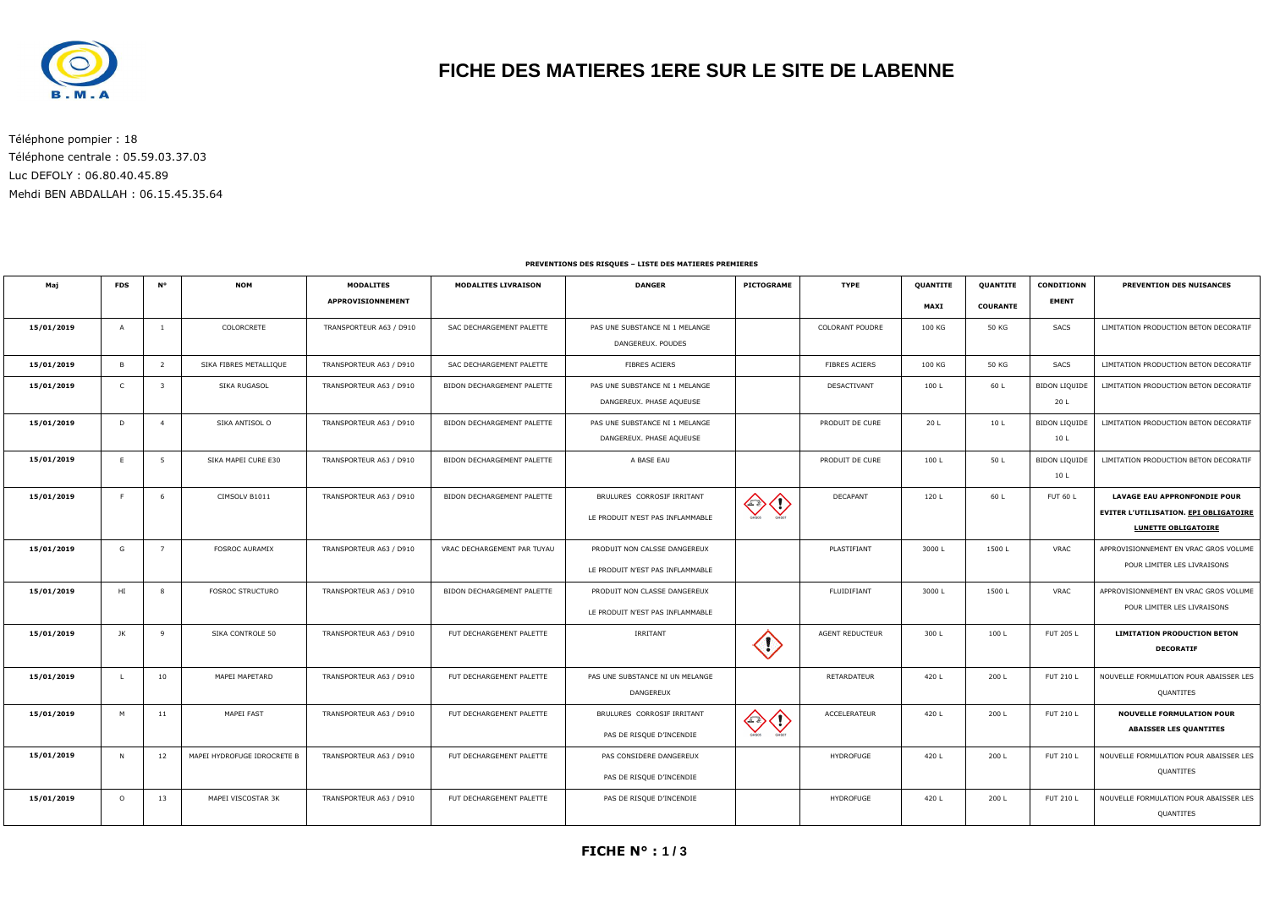

## **FICHE DES MATIERES 1ERE SUR LE SITE DE LABENNE**

Téléphone pompier : 18 Téléphone centrale : 05.59.03.37.03 Luc DEFOLY : 06.80.40.45.89 Mehdi BEN ABDALLAH : 06.15.45.35.64

#### **PREVENTIONS DES RISQUES – LISTE DES MATIERES PREMIERES**

| Maj        | <b>FDS</b>     | <b>N°</b>      | <b>NOM</b>                  | <b>MODALITES</b>        | <b>MODALITES LIVRAISON</b>  | <b>DANGER</b>                                                    | PICTOGRAME              | <b>TYPE</b>            | QUANTITE | QUANTITE        | <b>CONDITIONN</b>            | PREVENTION DES NUISANCES                                                                                          |
|------------|----------------|----------------|-----------------------------|-------------------------|-----------------------------|------------------------------------------------------------------|-------------------------|------------------------|----------|-----------------|------------------------------|-------------------------------------------------------------------------------------------------------------------|
|            |                |                |                             | APPROVISIONNEMENT       |                             |                                                                  |                         |                        | MAXI     | <b>COURANTE</b> | <b>EMENT</b>                 |                                                                                                                   |
| 15/01/2019 | A              |                | COLORCRETE                  | TRANSPORTEUR A63 / D910 | SAC DECHARGEMENT PALETTE    | PAS UNE SUBSTANCE NI 1 MELANGE<br>DANGEREUX. POUDES              |                         | <b>COLORANT POUDRE</b> | 100 KG   | 50 KG           | SACS                         | LIMITATION PRODUCTION BETON DECORATIF                                                                             |
| 15/01/2019 | $\overline{B}$ | $\overline{2}$ | SIKA FIBRES METALLIQUE      | TRANSPORTEUR A63 / D910 | SAC DECHARGEMENT PALETTE    | FIBRES ACIERS                                                    |                         | FIBRES ACIERS          | 100 KG   | 50 KG           | <b>SACS</b>                  | LIMITATION PRODUCTION BETON DECORATIF                                                                             |
| 15/01/2019 | $\mathsf{C}$   | $\mathbf{B}$   | SIKA RUGASOL                | TRANSPORTEUR A63 / D910 | BIDON DECHARGEMENT PALETTE  | PAS UNE SUBSTANCE NI 1 MELANGE<br>DANGEREUX. PHASE AQUEUSE       |                         | DESACTIVANT            | 100L     | 60 L            | <b>BIDON LIQUIDE</b><br>20 L | LIMITATION PRODUCTION BETON DECORATIF                                                                             |
| 15/01/2019 | D              | $\overline{4}$ | SIKA ANTISOL O              | TRANSPORTEUR A63 / D910 | BIDON DECHARGEMENT PALETTE  | PAS UNE SUBSTANCE NI 1 MELANGE<br>DANGEREUX. PHASE AQUEUSE       |                         | PRODUIT DE CURE        | 20 L     | 10 L            | <b>BIDON LIQUIDE</b><br>10 L | LIMITATION PRODUCTION BETON DECORATIF                                                                             |
| 15/01/2019 | E              | - 5            | SIKA MAPEI CURE E30         | TRANSPORTEUR A63 / D910 | BIDON DECHARGEMENT PALETTE  | A BASE EAU                                                       |                         | PRODUIT DE CURE        | 100 L    | 50 L            | <b>BIDON LIQUIDE</b><br>10 L | LIMITATION PRODUCTION BETON DECORATIF                                                                             |
| 15/01/2019 | - F            | 6              | CIMSOLV B1011               | TRANSPORTEUR A63 / D910 | BIDON DECHARGEMENT PALETTE  | BRULURES CORROSIF IRRITANT<br>LE PRODUIT N'EST PAS INFLAMMABLE   |                         | <b>DECAPANT</b>        | 120 L    | 60 L            | <b>FUT 60 L</b>              | <b>LAVAGE EAU APPRONFONDIE POUR</b><br><b>EVITER L'UTILISATION. EPI OBLIGATOIRE</b><br><b>LUNETTE OBLIGATOIRE</b> |
| 15/01/2019 | G              | $\overline{7}$ | <b>FOSROC AURAMIX</b>       | TRANSPORTEUR A63 / D910 | VRAC DECHARGEMENT PAR TUYAU | PRODUIT NON CALSSE DANGEREUX<br>LE PRODUIT N'EST PAS INFLAMMABLE |                         | PLASTIFIANT            | 3000L    | 1500L           | VRAC                         | APPROVISIONNEMENT EN VRAC GROS VOLUME<br>POUR LIMITER LES LIVRAISONS                                              |
| 15/01/2019 | HI             | - 8            | <b>FOSROC STRUCTURO</b>     | TRANSPORTEUR A63 / D910 | BIDON DECHARGEMENT PALETTE  | PRODUIT NON CLASSE DANGEREUX<br>LE PRODUIT N'EST PAS INFLAMMABLE |                         | FLUIDIFIANT            | 3000L    | 1500L           | VRAC                         | APPROVISIONNEMENT EN VRAC GROS VOLUME<br>POUR LIMITER LES LIVRAISONS                                              |
| 15/01/2019 | JK             | 9              | SIKA CONTROLE 50            | TRANSPORTEUR A63 / D910 | FUT DECHARGEMENT PALETTE    | IRRITANT                                                         | $\langle \cdot \rangle$ | <b>AGENT REDUCTEUR</b> | 300L     | 100L            | FUT 205 L                    | <b>LIMITATION PRODUCTION BETON</b><br><b>DECORATIF</b>                                                            |
| 15/01/2019 | - L            | 10             | MAPEI MAPETARD              | TRANSPORTEUR A63 / D910 | FUT DECHARGEMENT PALETTE    | PAS UNE SUBSTANCE NI UN MELANGE<br>DANGEREUX                     |                         | RETARDATEUR            | 420 L    | 200 L           | <b>FUT 210 L</b>             | NOUVELLE FORMULATION POUR ABAISSER LES<br>QUANTITES                                                               |
| 15/01/2019 | M              | 11             | MAPEI FAST                  | TRANSPORTEUR A63 / D910 | FUT DECHARGEMENT PALETTE    | BRULURES CORROSIF IRRITANT<br>PAS DE RISQUE D'INCENDIE           |                         | ACCELERATEUR           | 420 L    | 200 L           | <b>FUT 210 L</b>             | <b>NOUVELLE FORMULATION POUR</b><br><b>ABAISSER LES QUANTITES</b>                                                 |
| 15/01/2019 | - N            | 12             | MAPEI HYDROFUGE IDROCRETE B | TRANSPORTEUR A63 / D910 | FUT DECHARGEMENT PALETTE    | PAS CONSIDERE DANGEREUX<br>PAS DE RISQUE D'INCENDIE              |                         | <b>HYDROFUGE</b>       | 420 L    | 200 L           | <b>FUT 210 L</b>             | NOUVELLE FORMULATION POUR ABAISSER LES<br>QUANTITES                                                               |
| 15/01/2019 | $\circ$        | 13             | MAPEI VISCOSTAR 3K          | TRANSPORTEUR A63 / D910 | FUT DECHARGEMENT PALETTE    | PAS DE RISQUE D'INCENDIE                                         |                         | <b>HYDROFUGE</b>       | 420 L    | 200 L           | FUT 210 L                    | NOUVELLE FORMULATION POUR ABAISSER LES<br>QUANTITES                                                               |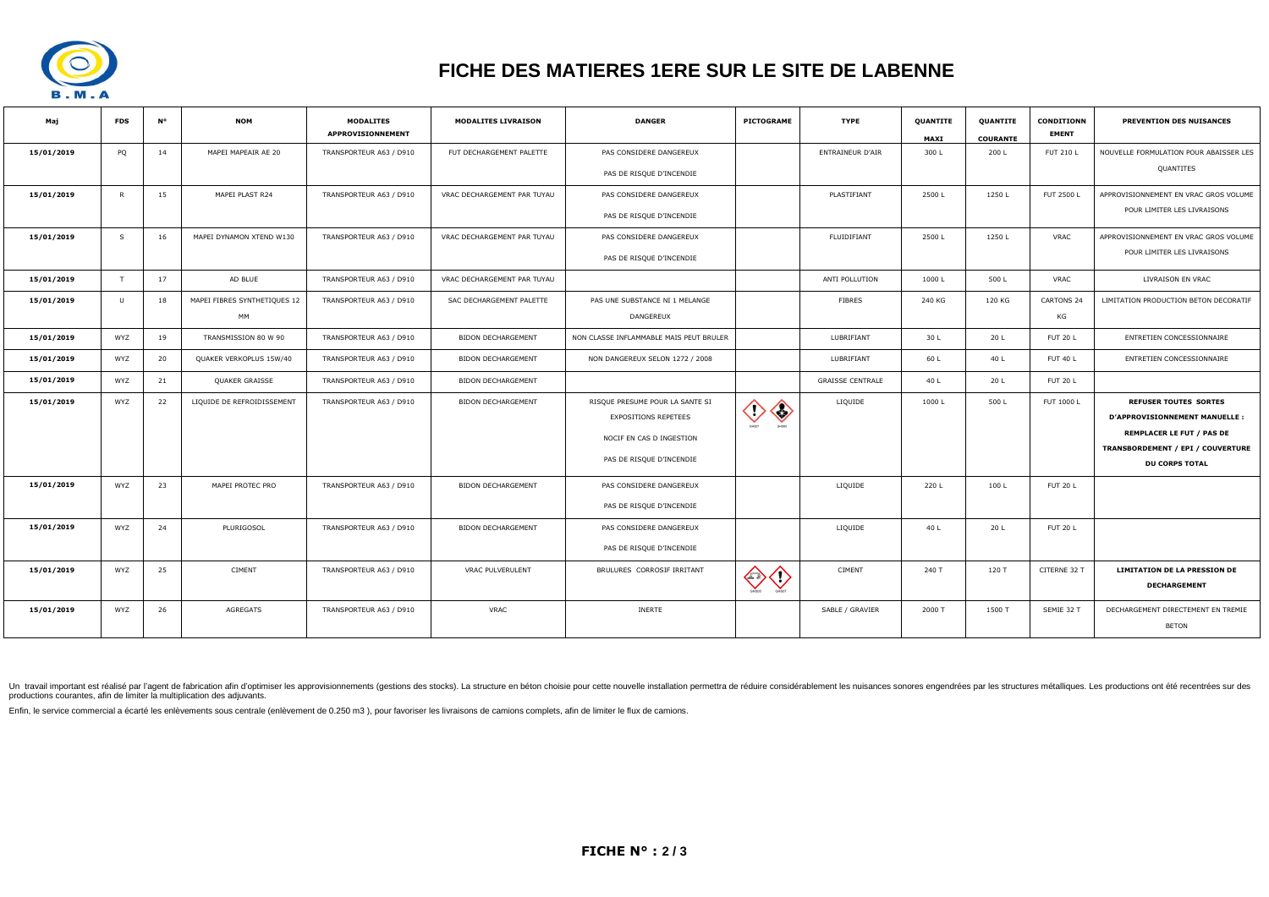

# **FICHE DES MATIERES 1ERE SUR LE SITE DE LABENNE**

| Мај        | <b>FDS</b>   | <b>N°</b> | <b>NOM</b>                   | <b>MODALITES</b><br>APPROVISIONNEMENT | <b>MODALITES LIVRAISON</b>  | <b>DANGER</b>                           | <b>PICTOGRAME</b>                | <b>TYPE</b>             | QUANTITE<br><b>MAXI</b> | QUANTITE<br><b>COURANTE</b> | <b>CONDITIONN</b><br><b>EMENT</b> | PREVENTION DES NUISANCES               |
|------------|--------------|-----------|------------------------------|---------------------------------------|-----------------------------|-----------------------------------------|----------------------------------|-------------------------|-------------------------|-----------------------------|-----------------------------------|----------------------------------------|
| 15/01/2019 | PQ           | 14        | MAPEI MAPEAIR AE 20          | TRANSPORTEUR A63 / D910               | FUT DECHARGEMENT PALETTE    | PAS CONSIDERE DANGEREUX                 |                                  | ENTRAINEUR D'AIR        | 300L                    | 200 L                       | <b>FUT 210 L</b>                  | NOUVELLE FORMULATION POUR ABAISSER LES |
|            |              |           |                              |                                       |                             | PAS DE RISQUE D'INCENDIE                |                                  |                         |                         |                             |                                   | QUANTITES                              |
| 15/01/2019 | $\mathsf{R}$ | 15        | MAPEI PLAST R24              | TRANSPORTEUR A63 / D910               | VRAC DECHARGEMENT PAR TUYAU | PAS CONSIDERE DANGEREUX                 |                                  | PLASTIFIANT             | 2500L                   | 1250L                       | FUT 2500 L                        | APPROVISIONNEMENT EN VRAC GROS VOLUME  |
|            |              |           |                              |                                       |                             | PAS DE RISQUE D'INCENDIE                |                                  |                         |                         |                             |                                   | POUR LIMITER LES LIVRAISONS            |
| 15/01/2019 | S            | 16        | MAPEI DYNAMON XTEND W130     | TRANSPORTEUR A63 / D910               | VRAC DECHARGEMENT PAR TUYAU | PAS CONSIDERE DANGEREUX                 |                                  | FLUIDIFIANT             | 2500L                   | 1250L                       | <b>VRAC</b>                       | APPROVISIONNEMENT EN VRAC GROS VOLUME  |
|            |              |           |                              |                                       |                             | PAS DE RISQUE D'INCENDIE                |                                  |                         |                         |                             |                                   | POUR LIMITER LES LIVRAISONS            |
| 15/01/2019 | T            | 17        | AD BLUE                      | TRANSPORTEUR A63 / D910               | VRAC DECHARGEMENT PAR TUYAU |                                         |                                  | ANTI POLLUTION          | 1000L                   | 500L                        | <b>VRAC</b>                       | LIVRAISON EN VRAC                      |
| 15/01/2019 | $\cup$       | 18        | MAPEI FIBRES SYNTHETIQUES 12 | TRANSPORTEUR A63 / D910               | SAC DECHARGEMENT PALETTE    | PAS UNE SUBSTANCE NI 1 MELANGE          |                                  | <b>FIBRES</b>           | 240 KG                  | 120 KG                      | <b>CARTONS 24</b>                 | LIMITATION PRODUCTION BETON DECORATIF  |
|            |              |           | MM                           |                                       |                             | DANGEREUX                               |                                  |                         |                         |                             | KG                                |                                        |
| 15/01/2019 | WYZ          | 19        | TRANSMISSION 80 W 90         | TRANSPORTEUR A63 / D910               | <b>BIDON DECHARGEMENT</b>   | NON CLASSE INFLAMMABLE MAIS PEUT BRULER |                                  | LUBRIFIANT              | 30 L                    | 20 L                        | <b>FUT 20 L</b>                   | ENTRETIEN CONCESSIONNAIRE              |
| 15/01/2019 | WYZ          | 20        | QUAKER VERKOPLUS 15W/40      | TRANSPORTEUR A63 / D910               | BIDON DECHARGEMENT          | NON DANGEREUX SELON 1272 / 2008         |                                  | LUBRIFIANT              | 60 L                    | 40 L                        | <b>FUT 40 L</b>                   | ENTRETIEN CONCESSIONNAIRE              |
| 15/01/2019 | WYZ          | 21        | QUAKER GRAISSE               | TRANSPORTEUR A63 / D910               | BIDON DECHARGEMENT          |                                         |                                  | <b>GRAISSE CENTRALE</b> | 40 L                    | 20 L                        | <b>FUT 20 L</b>                   |                                        |
| 15/01/2019 | WYZ          | 22        | LIQUIDE DE REFROIDISSEMENT   | TRANSPORTEUR A63 / D910               | <b>BIDON DECHARGEMENT</b>   | RISQUE PRESUME POUR LA SANTE SI         |                                  | LIQUIDE                 | 1000L                   | 500L                        | FUT 1000 L                        | <b>REFUSER TOUTES SORTES</b>           |
|            |              |           |                              |                                       |                             | <b>EXPOSITIONS REPETEES</b>             | $\diamondsuit$<br>$\diamondsuit$ |                         |                         |                             |                                   | D'APPROVISIONNEMENT MANUELLE :         |
|            |              |           |                              |                                       |                             |                                         |                                  |                         |                         |                             |                                   | <b>REMPLACER LE FUT / PAS DE</b>       |
|            |              |           |                              |                                       |                             | NOCIF EN CAS D INGESTION                |                                  |                         |                         |                             |                                   | TRANSBORDEMENT / EPI / COUVERTURE      |
|            |              |           |                              |                                       |                             | PAS DE RISQUE D'INCENDIE                |                                  |                         |                         |                             |                                   | <b>DU CORPS TOTAL</b>                  |
| 15/01/2019 | WYZ          | 23        | MAPEI PROTEC PRO             | TRANSPORTEUR A63 / D910               | <b>BIDON DECHARGEMENT</b>   | PAS CONSIDERE DANGEREUX                 |                                  | LIQUIDE                 | 220 L                   | 100L                        | <b>FUT 20 L</b>                   |                                        |
|            |              |           |                              |                                       |                             | PAS DE RISQUE D'INCENDIE                |                                  |                         |                         |                             |                                   |                                        |
| 15/01/2019 | WYZ          | 24        | PLURIGOSOL                   | TRANSPORTEUR A63 / D910               | <b>BIDON DECHARGEMENT</b>   | PAS CONSIDERE DANGEREUX                 |                                  | LIQUIDE                 | 40 L                    | 20 L                        | <b>FUT 20 L</b>                   |                                        |
|            |              |           |                              |                                       |                             | PAS DE RISQUE D'INCENDIE                |                                  |                         |                         |                             |                                   |                                        |
| 15/01/2019 | WYZ          | 25        | <b>CIMENT</b>                | TRANSPORTEUR A63 / D910               | <b>VRAC PULVERULENT</b>     | BRULURES CORROSIF IRRITANT              | ❤ ◇                              | <b>CIMENT</b>           | 240 T                   | 120 T                       | CITERNE 32 T                      | <b>LIMITATION DE LA PRESSION DE</b>    |
|            |              |           |                              |                                       |                             |                                         |                                  |                         |                         |                             |                                   | <b>DECHARGEMENT</b>                    |
| 15/01/2019 | WYZ          | 26        | AGREGATS                     | TRANSPORTEUR A63 / D910               | <b>VRAC</b>                 | <b>INERTE</b>                           |                                  | SABLE / GRAVIER         | 2000 T                  | 1500 T                      | SEMIE 32 T                        | DECHARGEMENT DIRECTEMENT EN TREMIE     |
|            |              |           |                              |                                       |                             |                                         |                                  |                         |                         |                             |                                   | <b>BETON</b>                           |
|            |              |           |                              |                                       |                             |                                         |                                  |                         |                         |                             |                                   |                                        |

Un travail important est réalisé par l'agent de fabrication afin d'optimiser les approvisionnements (gestions des stocks). La structure en béton choisie pour cette nouvelle installation permettra de réduire considérablemen productions courantes, afin de limiter la multiplication des adjuvants.

Enfin, le service commercial a écarté les enlèvements sous centrale (enlèvement de 0.250 m3), pour favoriser les livraisons de camions complets, afin de limiter le flux de camions.